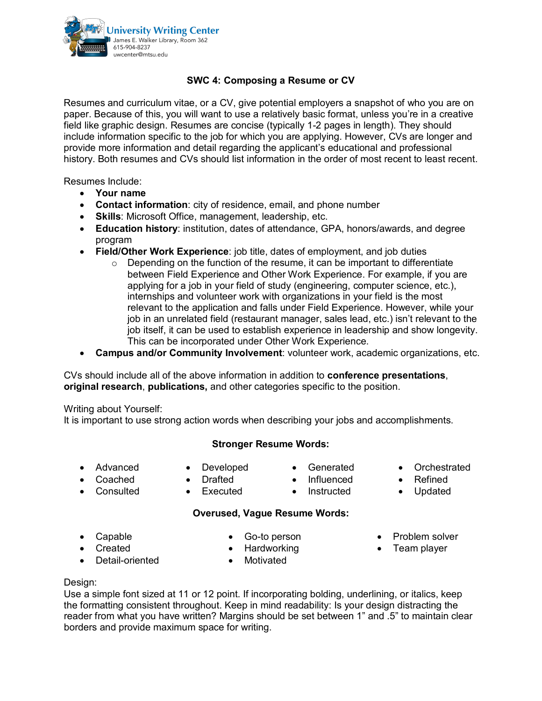

### **SWC 4: Composing a Resume or CV**

Resumes and curriculum vitae, or a CV, give potential employers a snapshot of who you are on paper. Because of this, you will want to use a relatively basic format, unless you're in a creative field like graphic design. Resumes are concise (typically 1-2 pages in length). They should include information specific to the job for which you are applying. However, CVs are longer and provide more information and detail regarding the applicant's educational and professional history. Both resumes and CVs should list information in the order of most recent to least recent.

Resumes Include:

- **Your name**
- **Contact information**: city of residence, email, and phone number
- **Skills**: Microsoft Office, management, leadership, etc.
- **Education history**: institution, dates of attendance, GPA, honors/awards, and degree program
- **Field/Other Work Experience**: job title, dates of employment, and job duties
	- o Depending on the function of the resume, it can be important to differentiate between Field Experience and Other Work Experience. For example, if you are applying for a job in your field of study (engineering, computer science, etc.), internships and volunteer work with organizations in your field is the most relevant to the application and falls under Field Experience. However, while your job in an unrelated field (restaurant manager, sales lead, etc.) isn't relevant to the job itself, it can be used to establish experience in leadership and show longevity. This can be incorporated under Other Work Experience.
- **Campus and/or Community Involvement**: volunteer work, academic organizations, etc.

CVs should include all of the above information in addition to **conference presentations**, **original research**, **publications,** and other categories specific to the position.

Writing about Yourself:

It is important to use strong action words when describing your jobs and accomplishments.

### **Stronger Resume Words:**

• Advanced • Coached

• Consulted

- Developed • Drafted • Executed
- **Generated**
- Influenced
- Instructed
- Orchestrated
- Refined
- Updated
- 
- 
- 

• Problem solver • Team player

• Capable • Created

Go-to person

**Overused, Vague Resume Words:**

- 
- Detail-oriented
- Hardworking
- Motivated

### Design:

Use a simple font sized at 11 or 12 point. If incorporating bolding, underlining, or italics, keep the formatting consistent throughout. Keep in mind readability: Is your design distracting the reader from what you have written? Margins should be set between 1" and .5" to maintain clear borders and provide maximum space for writing.